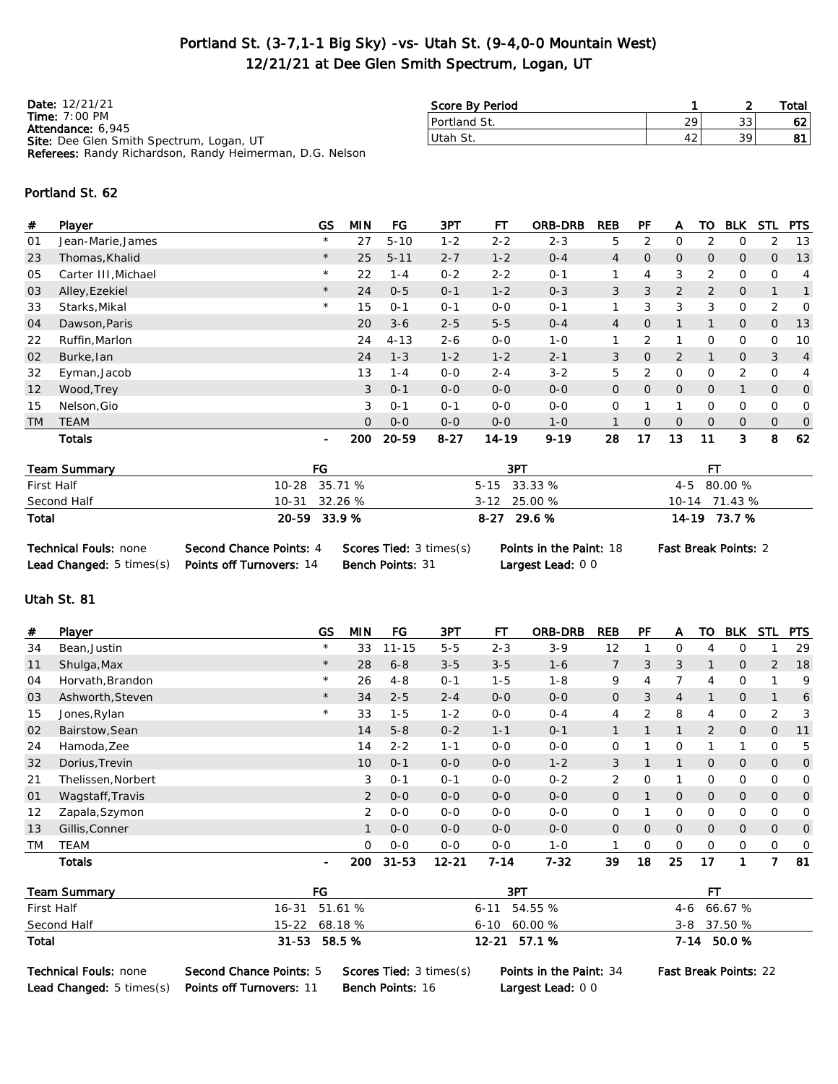### Portland St. (3-7,1-1 Big Sky) -vs- Utah St. (9-4,0-0 Mountain West) 12/21/21 at Dee Glen Smith Spectrum, Logan, UT

Date: 12/21/21 Time: 7:00 PM Attendance: 6,945 Site: Dee Glen Smith Spectrum, Logan, UT Referees: Randy Richardson, Randy Heimerman, D.G. Nelson

| Score By Period |    |              | Total |
|-----------------|----|--------------|-------|
| Portland St.    | ാഠ | $\cap$<br>JС |       |
| lUtah St.       |    | 30           | o     |
|                 |    |              |       |

#### Portland St. 62

| #               | Player              | <b>GS</b>      | MIN            | FG       | 3PT      | FТ        | <b>ORB-DRB</b> | <b>REB</b>     | PF             | A              | то             | <b>BLK</b>     | <b>STL</b>     | <b>PTS</b>     |
|-----------------|---------------------|----------------|----------------|----------|----------|-----------|----------------|----------------|----------------|----------------|----------------|----------------|----------------|----------------|
| 01              | Jean-Marie, James   | $\star$        | 27             | $5 - 10$ | $1 - 2$  | $2 - 2$   | $2 - 3$        | 5              | 2              | 0              | 2              | 0              | 2              | 13             |
| 23              | Thomas, Khalid      | $\star$        | 25             | $5 - 11$ | $2 - 7$  | $1 - 2$   | $0 - 4$        | $\overline{4}$ | $\Omega$       | $\overline{O}$ | $\Omega$       | $\mathbf{O}$   | $\overline{O}$ | 13             |
| 05              | Carter III, Michael | $\star$        | 22             | $1 - 4$  | $0 - 2$  | $2 - 2$   | $0 - 1$        |                | 4              | 3              | 2              | $\mathbf 0$    | $\Omega$       | $\overline{4}$ |
| 03              | Alley, Ezekiel      | $\star$        | 24             | $0 - 5$  | $0 - 1$  | $1 - 2$   | $0 - 3$        | 3              | 3              | $\overline{2}$ | 2              | $\mathsf{O}$   |                | $\mathbf{1}$   |
| 33              | Starks, Mikal       | $\star$        | 15             | $0 - 1$  | $0 - 1$  | $0-0$     | $0 - 1$        |                | 3              | 3              | 3              | $\mathbf{O}$   | $\overline{2}$ | $\mathbf 0$    |
| 04              | Dawson, Paris       |                | 20             | $3 - 6$  | $2 - 5$  | $5 - 5$   | $0 - 4$        | 4              | $\mathbf{0}$   |                |                | $\mathbf{0}$   | 0              | 13             |
| 22              | Ruffin, Marlon      |                | 24             | $4 - 13$ | $2 - 6$  | $0 - 0$   | $1 - 0$        |                | 2              |                | $\Omega$       | 0              | $\Omega$       | 10             |
| 02              | Burke, lan          |                | 24             | $1 - 3$  | $1 - 2$  | $1 - 2$   | $2 - 1$        | 3              | $\overline{O}$ | $\overline{2}$ |                | $\mathsf{O}$   | 3              | 4              |
| 32              | Eyman, Jacob        |                | 13             | $1 - 4$  | $0-0$    | $2 - 4$   | $3 - 2$        | 5              | 2              | 0              | $\Omega$       | $\overline{2}$ | $\mathbf 0$    | 4              |
| 12 <sup>2</sup> | Wood, Trey          |                | 3              | $O - 1$  | $0-0$    | $0-0$     | $0 - 0$        | $\mathsf{O}$   | $\overline{O}$ | $\mathsf{O}$   | $\overline{O}$ | 1              | $\overline{O}$ | $\mathbf{O}$   |
| 15              | Nelson, Gio         |                | 3              | $O - 1$  | $0 - 1$  | $0 - 0$   | $0 - 0$        | $\Omega$       |                |                | $\Omega$       | $\mathbf 0$    | $\Omega$       | 0              |
| <b>TM</b>       | <b>TEAM</b>         |                | $\overline{O}$ | $0 - 0$  | $0-0$    | $0 - 0$   | $1 - 0$        |                | $\Omega$       | $\overline{O}$ | $\overline{O}$ | $\overline{O}$ | $\overline{O}$ | $\mathbf 0$    |
|                 | <b>Totals</b>       | $\blacksquare$ | 200            | 20-59    | $8 - 27$ | $14 - 19$ | $9 - 19$       | 28             | 17             | 13             | 11             | 3              | 8              | 62             |
|                 | Toom Cummons        | EC.            |                |          |          | 2DT       |                |                |                |                | <b>CT</b>      |                |                |                |

| Team Summary | FG            | 3PT            | ᇊ             |
|--------------|---------------|----------------|---------------|
| First Half   | 10-28 35.71 % | $5-15$ 33.33 % | 4-5 80.00 %   |
| Second Half  | 10-31 32.26 % | $3-12$ 25.00 % | 10-14 71.43 % |
| Total        | 20-59 33.9 %  | $8-27$ 29.6 %  | 14-19 73.7 %  |

| <b>Technical Fouls: none</b>         | Second Chance Points: 4         | <b>Scores Tied: 3 times(</b> |
|--------------------------------------|---------------------------------|------------------------------|
| <b>Lead Changed:</b> $5 \times s(s)$ | <b>Points off Turnovers: 14</b> | <b>Bench Points: 31</b>      |

Largest Lead: 0 0

 $T(s)$  Points in the Paint: 18 Fast Break Points: 2

#### Utah St. 81

| #                 | Player             | GS                       | <b>MIN</b> | FG        | 3PT       | FТ       | <b>ORB-DRB</b> | <b>REB</b>     | PF             | А              | то             | <b>BLK</b>     | STL            | <b>PTS</b>  |
|-------------------|--------------------|--------------------------|------------|-----------|-----------|----------|----------------|----------------|----------------|----------------|----------------|----------------|----------------|-------------|
| 34                | Bean, Justin       | $\star$                  | 33         | $11 - 15$ | $5 - 5$   | $2 - 3$  | $3-9$          | 12             |                | 0              | 4              | 0              |                | 29          |
| 11                | Shulga, Max        | $\star$                  | 28         | $6 - 8$   | $3 - 5$   | $3 - 5$  | $1 - 6$        | $\overline{7}$ | 3              | 3              |                | $\overline{O}$ | $\overline{2}$ | 18          |
| 04                | Horvath, Brandon   | $\star$                  | 26         | $4 - 8$   | $O - 1$   | $1 - 5$  | $1 - 8$        | 9              | 4              |                | 4              | 0              |                | 9           |
| 03                | Ashworth, Steven   | $\star$                  | 34         | $2 - 5$   | $2 - 4$   | $0 - 0$  | $0 - 0$        | $\overline{O}$ | 3              | $\overline{4}$ |                | $\overline{O}$ | $\mathbf 1$    | 6           |
| 15                | Jones, Rylan       | $\star$                  | 33         | $1 - 5$   | $1 - 2$   | $0 - 0$  | $0 - 4$        | 4              | 2              | 8              | 4              | 0              | 2              | 3           |
| 02                | Bairstow, Sean     |                          | 14         | $5 - 8$   | $0 - 2$   | $1 - 1$  | $0 - 1$        | $\mathbf{1}$   |                | $\mathbf{1}$   | $\overline{2}$ | $\overline{O}$ | $\overline{O}$ | 11          |
| 24                | Hamoda, Zee        |                          | 14         | $2 - 2$   | $1 - 1$   | $0 - 0$  | $0 - 0$        | 0              |                | 0              |                |                | 0              | 5           |
| 32                | Dorius, Trevin     |                          | 10         | $0 - 1$   | $0 - 0$   | $0 - 0$  | $1 - 2$        | 3              |                | $\mathbf{1}$   | $\overline{O}$ | $\overline{O}$ | $\overline{O}$ | $\mathbf 0$ |
| 21                | Thelissen, Norbert |                          | 3          | $O - 1$   | $O - 1$   | $0 - 0$  | $0 - 2$        | 2              | 0              |                | 0              | $\mathbf 0$    | $\mathbf 0$    | $\mathbf 0$ |
| 01                | Wagstaff, Travis   |                          | 2          | $0 - 0$   | $0 - 0$   | $0 - 0$  | $0 - 0$        | $\overline{O}$ |                | 0              | $\overline{O}$ | $\overline{O}$ | $\overline{O}$ | $\mathbf 0$ |
| $12 \overline{ }$ | Zapala, Szymon     |                          | 2          | $0 - 0$   | $0 - 0$   | $0 - 0$  | $0 - 0$        | 0              |                | 0              | 0              | $\mathbf 0$    | $\mathbf 0$    | 0           |
| 13                | Gillis, Conner     |                          | 1          | $0 - 0$   | $0 - 0$   | $0 - 0$  | $0 - 0$        | $\overline{O}$ | $\overline{O}$ | O              | $\overline{O}$ | $\overline{O}$ | $\overline{O}$ | $\mathbf 0$ |
| ТM                | TEAM               |                          | $\Omega$   | $0 - 0$   | $0 - 0$   | $0 - 0$  | $1 - 0$        |                | $\Omega$       | 0              | 0              | 0              | 0              | 0           |
|                   | <b>Totals</b>      | $\overline{\phantom{a}}$ | 200        | $31 - 53$ | $12 - 21$ | $7 - 14$ | $7 - 32$       | 39             | 18             | 25             | 17             |                | 7              | 81          |

| <b>Team Summary</b> | FG            | 3PT              |               |
|---------------------|---------------|------------------|---------------|
| First Half          | 16-31 51.61 % | $6-11$ 54.55 %   | $4-6$ 66.67 % |
| Second Half         | 15-22 68.18 % | $6-10$ $60.00\%$ | $3-8$ 37.50 % |
| Total               | 31-53 58.5 %  | 12-21 57.1 %     | 7-14 50.0 %   |

Technical Fouls: none Second Chance Points: 5 Scores Tied: 3 times(s) Points in the Paint: 34 Fast Break Points: 22 Lead Changed: 5 times(s) Points off Turnovers: 11 Bench Points: 16 Largest Lead: 0 0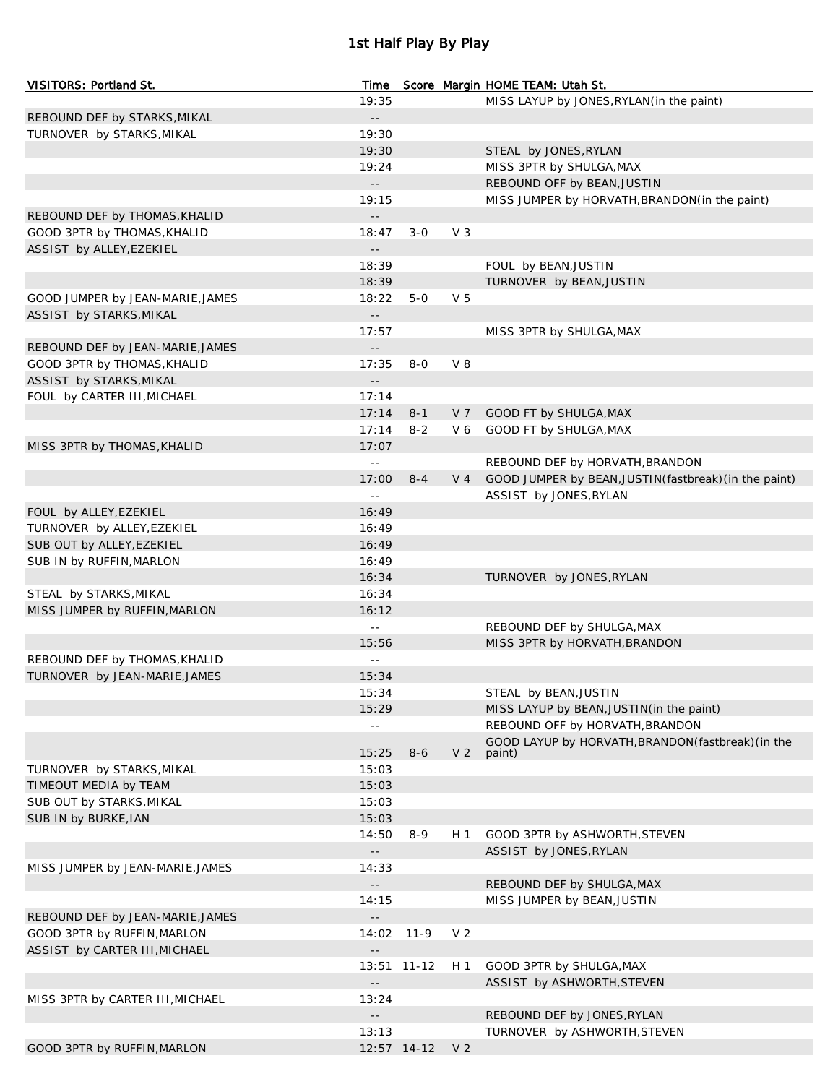## 1st Half Play By Play

| VISITORS: Portland St.                                  | Time                                          |             |                | Score Margin HOME TEAM: Utah St.                       |
|---------------------------------------------------------|-----------------------------------------------|-------------|----------------|--------------------------------------------------------|
|                                                         | 19:35                                         |             |                | MISS LAYUP by JONES, RYLAN (in the paint)              |
| REBOUND DEF by STARKS, MIKAL                            | $\sim$ $-$                                    |             |                |                                                        |
| TURNOVER by STARKS, MIKAL                               | 19:30                                         |             |                |                                                        |
|                                                         | 19:30                                         |             |                | STEAL by JONES, RYLAN                                  |
|                                                         | 19:24                                         |             |                | MISS 3PTR by SHULGA, MAX                               |
|                                                         | $\mathord{\hspace{1pt}\text{--}\hspace{1pt}}$ |             |                | REBOUND OFF by BEAN, JUSTIN                            |
|                                                         | 19:15                                         |             |                | MISS JUMPER by HORVATH, BRANDON(in the paint)          |
| REBOUND DEF by THOMAS, KHALID                           | $\sim$ $-$                                    |             |                |                                                        |
| GOOD 3PTR by THOMAS, KHALID                             | 18:47                                         | $3 - 0$     | $V_3$          |                                                        |
| ASSIST by ALLEY, EZEKIEL                                | $ -$                                          |             |                |                                                        |
|                                                         | 18:39                                         |             |                | FOUL by BEAN, JUSTIN                                   |
|                                                         | 18:39                                         |             |                | TURNOVER by BEAN, JUSTIN                               |
| GOOD JUMPER by JEAN-MARIE, JAMES                        | 18:22                                         | $5-0$       | V <sub>5</sub> |                                                        |
| ASSIST by STARKS, MIKAL                                 | $\sim$ $-$                                    |             |                |                                                        |
|                                                         | 17:57                                         |             |                | MISS 3PTR by SHULGA, MAX                               |
| REBOUND DEF by JEAN-MARIE, JAMES                        | $\overline{\phantom{a}}$ .                    |             |                |                                                        |
| GOOD 3PTR by THOMAS, KHALID                             | 17:35                                         | $8-0$       | $V_8$          |                                                        |
| ASSIST by STARKS, MIKAL                                 | $\mathord{\hspace{1pt}\text{--}\hspace{1pt}}$ |             |                |                                                        |
| FOUL by CARTER III, MICHAEL                             | 17:14                                         |             |                |                                                        |
|                                                         | 17:14                                         | $8 - 1$     | V 7            | GOOD FT by SHULGA, MAX                                 |
|                                                         | 17:14                                         | $8 - 2$     | V6             | GOOD FT by SHULGA, MAX                                 |
| MISS 3PTR by THOMAS, KHALID                             | 17:07                                         |             |                |                                                        |
|                                                         | $\omega$ .                                    |             |                | REBOUND DEF by HORVATH, BRANDON                        |
|                                                         | 17:00                                         | $8 - 4$     | $V_4$          | GOOD JUMPER by BEAN, JUSTIN (fastbreak) (in the paint) |
|                                                         | $\perp$ $\perp$                               |             |                | ASSIST by JONES, RYLAN                                 |
| FOUL by ALLEY, EZEKIEL                                  | 16:49                                         |             |                |                                                        |
| TURNOVER by ALLEY, EZEKIEL                              | 16:49                                         |             |                |                                                        |
| SUB OUT by ALLEY, EZEKIEL                               | 16:49<br>16:49                                |             |                |                                                        |
| SUB IN by RUFFIN, MARLON                                | 16:34                                         |             |                |                                                        |
|                                                         | 16:34                                         |             |                | TURNOVER by JONES, RYLAN                               |
| STEAL by STARKS, MIKAL<br>MISS JUMPER by RUFFIN, MARLON | 16:12                                         |             |                |                                                        |
|                                                         | $\perp$ $\perp$                               |             |                | REBOUND DEF by SHULGA, MAX                             |
|                                                         | 15:56                                         |             |                | MISS 3PTR by HORVATH, BRANDON                          |
| REBOUND DEF by THOMAS, KHALID                           | uu                                            |             |                |                                                        |
| TURNOVER by JEAN-MARIE, JAMES                           | 15:34                                         |             |                |                                                        |
|                                                         | 15:34                                         |             |                | STEAL by BEAN, JUSTIN                                  |
|                                                         | 15:29                                         |             |                | MISS LAYUP by BEAN, JUSTIN (in the paint)              |
|                                                         | $\overline{\phantom{a}}$ .                    |             |                | REBOUND OFF by HORVATH, BRANDON                        |
|                                                         |                                               |             |                | GOOD LAYUP by HORVATH, BRANDON (fastbreak) (in the     |
|                                                         | 15:25                                         | $8-6$       | V <sub>2</sub> | paint)                                                 |
| TURNOVER by STARKS, MIKAL                               | 15:03                                         |             |                |                                                        |
| TIMEOUT MEDIA by TEAM                                   | 15:03                                         |             |                |                                                        |
| SUB OUT by STARKS, MIKAL                                | 15:03                                         |             |                |                                                        |
| SUB IN by BURKE, IAN                                    | 15:03                                         |             |                |                                                        |
|                                                         | 14:50                                         | $8 - 9$     | H 1            | GOOD 3PTR by ASHWORTH, STEVEN                          |
|                                                         | $\sim$ $-$                                    |             |                | ASSIST by JONES, RYLAN                                 |
| MISS JUMPER by JEAN-MARIE, JAMES                        | 14:33                                         |             |                |                                                        |
|                                                         | $\sim$ $-$                                    |             |                | REBOUND DEF by SHULGA, MAX                             |
|                                                         | 14:15                                         |             |                | MISS JUMPER by BEAN, JUSTIN                            |
| REBOUND DEF by JEAN-MARIE, JAMES                        | $\overline{a}$                                |             |                |                                                        |
| GOOD 3PTR by RUFFIN, MARLON                             | 14:02                                         | $11-9$      | V <sub>2</sub> |                                                        |
| ASSIST by CARTER III, MICHAEL                           | $\overline{a}$                                |             |                |                                                        |
|                                                         |                                               | 13:51 11-12 | H 1            | GOOD 3PTR by SHULGA, MAX                               |
|                                                         | $\overline{\phantom{a}}$ .                    |             |                | ASSIST by ASHWORTH, STEVEN                             |
| MISS 3PTR by CARTER III, MICHAEL                        | 13:24                                         |             |                |                                                        |
|                                                         | $\overline{\phantom{a}}$ .                    |             |                | REBOUND DEF by JONES, RYLAN                            |
|                                                         | 13:13                                         |             |                | TURNOVER by ASHWORTH, STEVEN                           |
| GOOD 3PTR by RUFFIN, MARLON                             |                                               | 12:57 14-12 | V <sub>2</sub> |                                                        |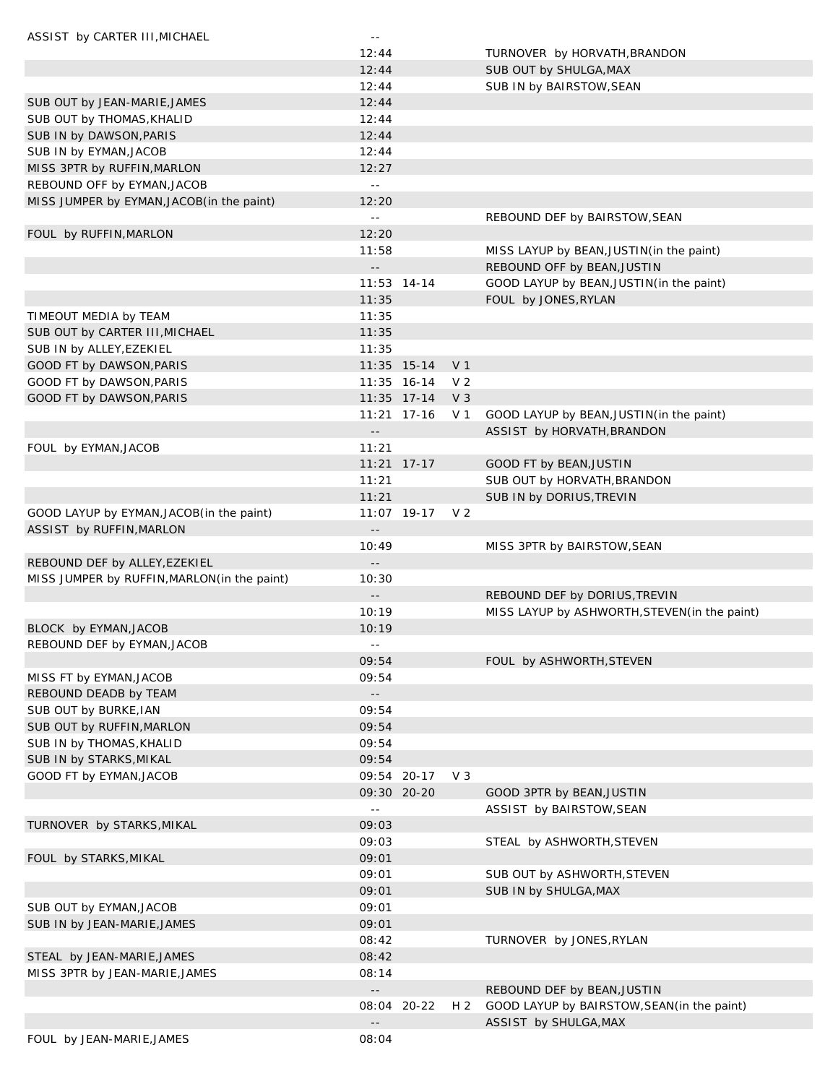| ASSIST by CARTER III, MICHAEL                | $\sim$ $-$                 |               |                |                                               |
|----------------------------------------------|----------------------------|---------------|----------------|-----------------------------------------------|
|                                              | 12:44                      |               |                | TURNOVER by HORVATH, BRANDON                  |
|                                              | 12:44                      |               |                | SUB OUT by SHULGA, MAX                        |
|                                              | 12:44                      |               |                | SUB IN by BAIRSTOW, SEAN                      |
| SUB OUT by JEAN-MARIE, JAMES                 | 12:44                      |               |                |                                               |
| SUB OUT by THOMAS, KHALID                    | 12:44                      |               |                |                                               |
| SUB IN by DAWSON, PARIS                      | 12:44                      |               |                |                                               |
| SUB IN by EYMAN, JACOB                       | 12:44                      |               |                |                                               |
| MISS 3PTR by RUFFIN, MARLON                  | 12:27                      |               |                |                                               |
| REBOUND OFF by EYMAN, JACOB                  | $\mathbb{L} \mathbb{L}$    |               |                |                                               |
| MISS JUMPER by EYMAN, JACOB(in the paint)    | 12:20                      |               |                |                                               |
|                                              | $\perp$ $\perp$            |               |                | REBOUND DEF by BAIRSTOW, SEAN                 |
| FOUL by RUFFIN, MARLON                       | 12:20                      |               |                |                                               |
|                                              | 11:58                      |               |                | MISS LAYUP by BEAN, JUSTIN (in the paint)     |
|                                              | $\overline{\phantom{a}}$ . |               |                | REBOUND OFF by BEAN, JUSTIN                   |
|                                              |                            | $11:53$ 14-14 |                | GOOD LAYUP by BEAN, JUSTIN(in the paint)      |
|                                              | 11:35                      |               |                | FOUL by JONES, RYLAN                          |
| TIMEOUT MEDIA by TEAM                        | 11:35                      |               |                |                                               |
|                                              | 11:35                      |               |                |                                               |
| SUB OUT by CARTER III, MICHAEL               | 11:35                      |               |                |                                               |
| SUB IN by ALLEY, EZEKIEL                     |                            |               |                |                                               |
| GOOD FT by DAWSON, PARIS                     |                            | $11:35$ 15-14 | V <sub>1</sub> |                                               |
| GOOD FT by DAWSON, PARIS                     |                            | 11:35 16-14   | V <sub>2</sub> |                                               |
| GOOD FT by DAWSON, PARIS                     |                            | $11:35$ 17-14 | V <sub>3</sub> |                                               |
|                                              |                            | $11:21$ 17-16 | V 1            | GOOD LAYUP by BEAN, JUSTIN(in the paint)      |
|                                              | $- \, -$                   |               |                | ASSIST by HORVATH, BRANDON                    |
| FOUL by EYMAN, JACOB                         | 11:21                      |               |                |                                               |
|                                              |                            | $11:21$ 17-17 |                | GOOD FT by BEAN, JUSTIN                       |
|                                              | 11:21                      |               |                | SUB OUT by HORVATH, BRANDON                   |
|                                              | 11:21                      |               |                | SUB IN by DORIUS, TREVIN                      |
| GOOD LAYUP by EYMAN, JACOB(in the paint)     |                            | 11:07 19-17   | V <sub>2</sub> |                                               |
| ASSIST by RUFFIN, MARLON                     | $\overline{\phantom{a}}$ . |               |                |                                               |
|                                              | 10:49                      |               |                | MISS 3PTR by BAIRSTOW, SEAN                   |
| REBOUND DEF by ALLEY, EZEKIEL                | $\overline{\phantom{a}}$ . |               |                |                                               |
| MISS JUMPER by RUFFIN, MARLON (in the paint) | 10:30                      |               |                |                                               |
|                                              | $- \, -$                   |               |                | REBOUND DEF by DORIUS, TREVIN                 |
|                                              | 10:19                      |               |                | MISS LAYUP by ASHWORTH, STEVEN (in the paint) |
| BLOCK by EYMAN, JACOB                        | 10:19                      |               |                |                                               |
| REBOUND DEF by EYMAN, JACOB                  | $\sim$ $-$                 |               |                |                                               |
|                                              | 09:54                      |               |                | FOUL by ASHWORTH, STEVEN                      |
| MISS FT by EYMAN, JACOB                      | 09:54                      |               |                |                                               |
| REBOUND DEADB by TEAM                        | $\sim$ $\sim$              |               |                |                                               |
| SUB OUT by BURKE, IAN                        | 09:54                      |               |                |                                               |
| SUB OUT by RUFFIN, MARLON                    | 09:54                      |               |                |                                               |
| SUB IN by THOMAS, KHALID                     | 09:54                      |               |                |                                               |
| SUB IN by STARKS, MIKAL                      | 09:54                      |               |                |                                               |
| GOOD FT by EYMAN, JACOB                      |                            | 09:54 20-17   | $V_3$          |                                               |
|                                              |                            | 09:30 20-20   |                | GOOD 3PTR by BEAN, JUSTIN                     |
|                                              | $\sim$ $-$                 |               |                | ASSIST by BAIRSTOW, SEAN                      |
| TURNOVER by STARKS, MIKAL                    | 09:03                      |               |                |                                               |
|                                              | 09:03                      |               |                | STEAL by ASHWORTH, STEVEN                     |
| FOUL by STARKS, MIKAL                        | 09:01                      |               |                |                                               |
|                                              | 09:01                      |               |                | SUB OUT by ASHWORTH, STEVEN                   |
|                                              | 09:01                      |               |                | SUB IN by SHULGA, MAX                         |
| SUB OUT by EYMAN, JACOB                      | 09:01                      |               |                |                                               |
| SUB IN by JEAN-MARIE, JAMES                  | 09:01                      |               |                |                                               |
|                                              | 08:42                      |               |                | TURNOVER by JONES, RYLAN                      |
| STEAL by JEAN-MARIE, JAMES                   | 08:42                      |               |                |                                               |
| MISS 3PTR by JEAN-MARIE, JAMES               | 08:14                      |               |                |                                               |
|                                              | $\overline{\phantom{a}}$ . |               |                | REBOUND DEF by BEAN, JUSTIN                   |
|                                              |                            | 08:04 20-22   | H 2            | GOOD LAYUP by BAIRSTOW, SEAN (in the paint)   |
|                                              | $-$                        |               |                | ASSIST by SHULGA, MAX                         |
| FOUL by JEAN-MARIE, JAMES                    | 08:04                      |               |                |                                               |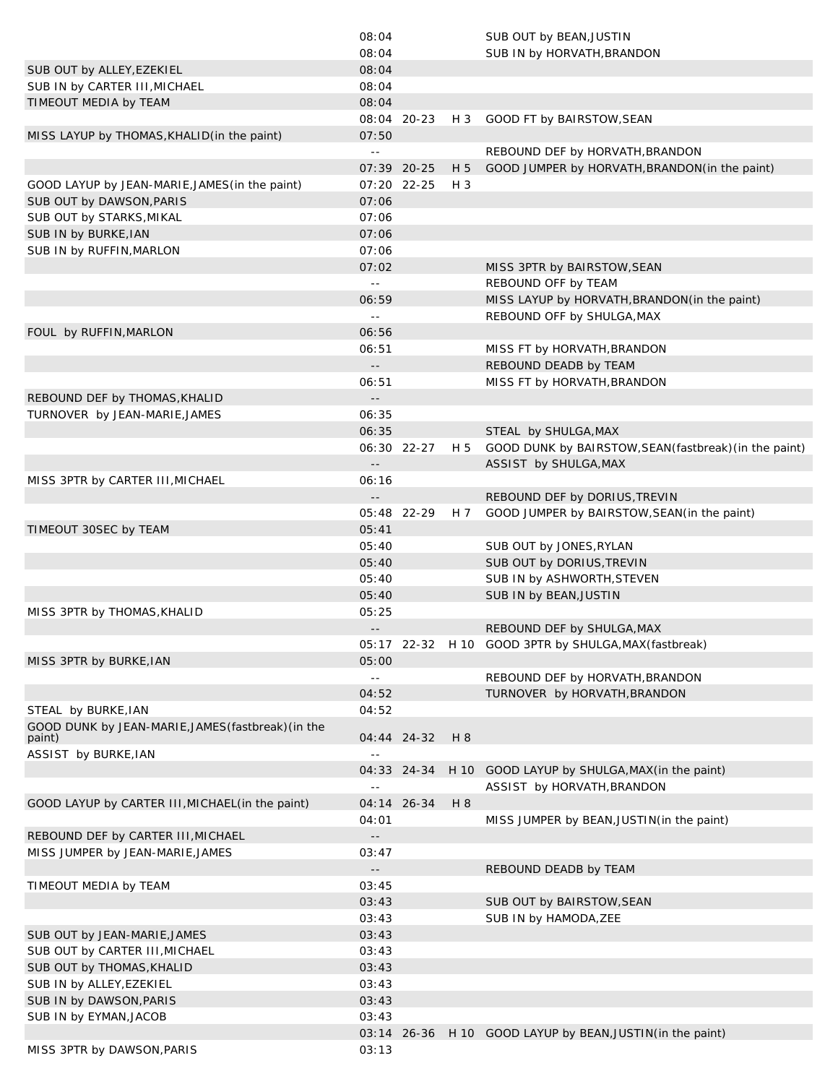|                                                              | 08:04                                         |             |       | SUB OUT by BEAN, JUSTIN                                   |
|--------------------------------------------------------------|-----------------------------------------------|-------------|-------|-----------------------------------------------------------|
|                                                              | 08:04                                         |             |       | SUB IN by HORVATH, BRANDON                                |
| SUB OUT by ALLEY, EZEKIEL                                    | 08:04                                         |             |       |                                                           |
| SUB IN by CARTER III, MICHAEL                                | 08:04                                         |             |       |                                                           |
| TIMEOUT MEDIA by TEAM                                        | 08:04                                         |             |       |                                                           |
|                                                              |                                               | 08:04 20-23 |       | H 3 GOOD FT by BAIRSTOW, SEAN                             |
| MISS LAYUP by THOMAS, KHALID(in the paint)                   | 07:50                                         |             |       |                                                           |
|                                                              | $\omega$ $\omega$                             |             |       | REBOUND DEF by HORVATH, BRANDON                           |
|                                                              |                                               | 07:39 20-25 | H 5   | GOOD JUMPER by HORVATH, BRANDON (in the paint)            |
| GOOD LAYUP by JEAN-MARIE, JAMES (in the paint)               |                                               | 07:20 22-25 | $H_3$ |                                                           |
| SUB OUT by DAWSON, PARIS                                     | 07:06                                         |             |       |                                                           |
| SUB OUT by STARKS, MIKAL                                     | 07:06                                         |             |       |                                                           |
| SUB IN by BURKE, IAN                                         | 07:06                                         |             |       |                                                           |
| SUB IN by RUFFIN, MARLON                                     | 07:06                                         |             |       |                                                           |
|                                                              | 07:02                                         |             |       | MISS 3PTR by BAIRSTOW, SEAN                               |
|                                                              | $\sim$ $\sim$                                 |             |       | REBOUND OFF by TEAM                                       |
|                                                              | 06:59                                         |             |       | MISS LAYUP by HORVATH, BRANDON (in the paint)             |
|                                                              | $\sim$ $\sim$                                 |             |       | REBOUND OFF by SHULGA, MAX                                |
| FOUL by RUFFIN, MARLON                                       | 06:56                                         |             |       |                                                           |
|                                                              | 06:51                                         |             |       | MISS FT by HORVATH, BRANDON                               |
|                                                              | $\mathord{\hspace{1pt}\text{--}\hspace{1pt}}$ |             |       | REBOUND DEADB by TEAM                                     |
|                                                              | 06:51                                         |             |       | MISS FT by HORVATH, BRANDON                               |
| REBOUND DEF by THOMAS, KHALID                                | $\sim$ $-$                                    |             |       |                                                           |
| TURNOVER by JEAN-MARIE, JAMES                                | 06:35                                         |             |       |                                                           |
|                                                              | 06:35                                         |             |       | STEAL by SHULGA, MAX                                      |
|                                                              |                                               | 06:30 22-27 | H 5   | GOOD DUNK by BAIRSTOW, SEAN(fastbreak) (in the paint)     |
|                                                              | $\sim$ $-$                                    |             |       | ASSIST by SHULGA, MAX                                     |
| MISS 3PTR by CARTER III, MICHAEL                             | 06:16                                         |             |       |                                                           |
|                                                              | $\overline{\phantom{a}}$ .                    |             |       | REBOUND DEF by DORIUS, TREVIN                             |
|                                                              |                                               | 05:48 22-29 | H 7   | GOOD JUMPER by BAIRSTOW, SEAN (in the paint)              |
| TIMEOUT 30SEC by TEAM                                        | 05:41                                         |             |       |                                                           |
|                                                              | 05:40                                         |             |       | SUB OUT by JONES, RYLAN                                   |
|                                                              | 05:40                                         |             |       | SUB OUT by DORIUS, TREVIN                                 |
|                                                              | 05:40                                         |             |       | SUB IN by ASHWORTH, STEVEN                                |
|                                                              | 05:40                                         |             |       | SUB IN by BEAN, JUSTIN                                    |
| MISS 3PTR by THOMAS, KHALID                                  | 05:25                                         |             |       |                                                           |
|                                                              | $\sim$ $-$                                    |             |       | REBOUND DEF by SHULGA, MAX                                |
|                                                              |                                               |             |       | 05:17 22-32 H 10 GOOD 3PTR by SHULGA, MAX (fastbreak)     |
| MISS 3PTR by BURKE, IAN                                      | 05:00                                         |             |       |                                                           |
|                                                              | $\sim$ $\sim$                                 |             |       | REBOUND DEF by HORVATH, BRANDON                           |
|                                                              | 04:52                                         |             |       | TURNOVER by HORVATH, BRANDON                              |
| STEAL by BURKE, IAN                                          | 04:52                                         |             |       |                                                           |
| GOOD DUNK by JEAN-MARIE, JAMES (fastbreak) (in the<br>paint) |                                               | 04:44 24-32 | H 8   |                                                           |
| ASSIST by BURKE, IAN                                         | $\omega$ $\omega$                             |             |       |                                                           |
|                                                              |                                               | 04:33 24-34 | H 10  | GOOD LAYUP by SHULGA, MAX (in the paint)                  |
|                                                              | $\omega$ $\omega$                             |             |       | ASSIST by HORVATH, BRANDON                                |
| GOOD LAYUP by CARTER III, MICHAEL (in the paint)             |                                               | 04:14 26-34 | H 8   |                                                           |
|                                                              | 04:01                                         |             |       | MISS JUMPER by BEAN, JUSTIN (in the paint)                |
| REBOUND DEF by CARTER III, MICHAEL                           | $\sim$ $\sim$                                 |             |       |                                                           |
| MISS JUMPER by JEAN-MARIE, JAMES                             | 03:47                                         |             |       |                                                           |
|                                                              | $\overline{\phantom{a}}$ .                    |             |       | REBOUND DEADB by TEAM                                     |
| TIMEOUT MEDIA by TEAM                                        | 03:45                                         |             |       |                                                           |
|                                                              | 03:43                                         |             |       | SUB OUT by BAIRSTOW, SEAN                                 |
|                                                              | 03:43                                         |             |       | SUB IN by HAMODA, ZEE                                     |
| SUB OUT by JEAN-MARIE, JAMES                                 | 03:43                                         |             |       |                                                           |
| SUB OUT by CARTER III, MICHAEL                               | 03:43                                         |             |       |                                                           |
| SUB OUT by THOMAS, KHALID                                    | 03:43                                         |             |       |                                                           |
| SUB IN by ALLEY, EZEKIEL                                     | 03:43                                         |             |       |                                                           |
| SUB IN by DAWSON, PARIS                                      | 03:43                                         |             |       |                                                           |
| SUB IN by EYMAN, JACOB                                       | 03:43                                         |             |       |                                                           |
|                                                              |                                               |             |       | 03:14 26-36 H 10 GOOD LAYUP by BEAN, JUSTIN(in the paint) |
| MISS 3PTR by DAWSON, PARIS                                   | 03:13                                         |             |       |                                                           |
|                                                              |                                               |             |       |                                                           |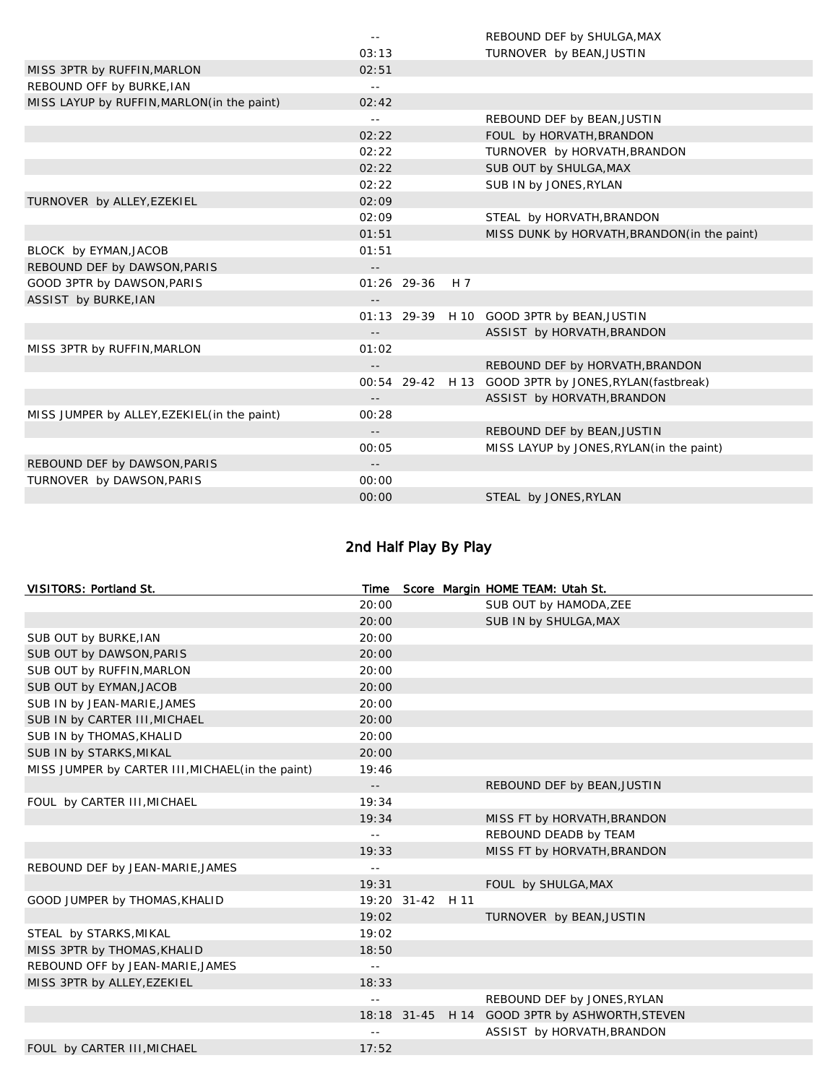|                                              | $\sim$ $-$                 |               |     | REBOUND DEF by SHULGA, MAX                             |
|----------------------------------------------|----------------------------|---------------|-----|--------------------------------------------------------|
|                                              | 03:13                      |               |     | TURNOVER by BEAN, JUSTIN                               |
| MISS 3PTR by RUFFIN, MARLON                  | 02:51                      |               |     |                                                        |
| REBOUND OFF by BURKE, IAN                    | $\sim$ $-$                 |               |     |                                                        |
| MISS LAYUP by RUFFIN, MARLON(in the paint)   | 02:42                      |               |     |                                                        |
|                                              | $\sim$ $-$                 |               |     | REBOUND DEF by BEAN, JUSTIN                            |
|                                              | 02:22                      |               |     | FOUL by HORVATH, BRANDON                               |
|                                              | 02:22                      |               |     | TURNOVER by HORVATH, BRANDON                           |
|                                              | 02:22                      |               |     | SUB OUT by SHULGA, MAX                                 |
|                                              | 02:22                      |               |     | SUB IN by JONES, RYLAN                                 |
| TURNOVER by ALLEY, EZEKIEL                   | 02:09                      |               |     |                                                        |
|                                              | 02:09                      |               |     | STEAL by HORVATH, BRANDON                              |
|                                              | 01:51                      |               |     | MISS DUNK by HORVATH, BRANDON(in the paint)            |
| BLOCK by EYMAN, JACOB                        | 01:51                      |               |     |                                                        |
| REBOUND DEF by DAWSON, PARIS                 | $- -$                      |               |     |                                                        |
| GOOD 3PTR by DAWSON, PARIS                   |                            | $01:26$ 29-36 | H 7 |                                                        |
| ASSIST by BURKE, IAN                         |                            |               |     |                                                        |
|                                              |                            |               |     | 01:13 29-39 H 10 GOOD 3PTR by BEAN, JUSTIN             |
|                                              | $-$                        |               |     | ASSIST by HORVATH, BRANDON                             |
| MISS 3PTR by RUFFIN, MARLON                  | 01:02                      |               |     |                                                        |
|                                              | $\overline{\phantom{a}}$ . |               |     | REBOUND DEF by HORVATH, BRANDON                        |
|                                              |                            |               |     | 00:54 29-42 H 13 GOOD 3PTR by JONES, RYLAN (fastbreak) |
|                                              | $-$                        |               |     | ASSIST by HORVATH, BRANDON                             |
| MISS JUMPER by ALLEY, EZEKIEL (in the paint) | 00:28                      |               |     |                                                        |
|                                              | $ -$                       |               |     | REBOUND DEF by BEAN, JUSTIN                            |
|                                              | 00:05                      |               |     | MISS LAYUP by JONES, RYLAN (in the paint)              |
| REBOUND DEF by DAWSON, PARIS                 | $ -$                       |               |     |                                                        |
| TURNOVER by DAWSON, PARIS                    | 00:00                      |               |     |                                                        |
|                                              | 00:00                      |               |     | STEAL by JONES, RYLAN                                  |

# 2nd Half Play By Play

| VISITORS: Portland St.                            | Time                       |                  | Score Margin HOME TEAM: Utah St.               |  |
|---------------------------------------------------|----------------------------|------------------|------------------------------------------------|--|
|                                                   | 20:00                      |                  | SUB OUT by HAMODA, ZEE                         |  |
|                                                   | 20:00                      |                  | SUB IN by SHULGA, MAX                          |  |
| SUB OUT by BURKE, IAN                             | 20:00                      |                  |                                                |  |
| SUB OUT by DAWSON, PARIS                          | 20:00                      |                  |                                                |  |
| SUB OUT by RUFFIN, MARLON                         | 20:00                      |                  |                                                |  |
| SUB OUT by EYMAN, JACOB                           | 20:00                      |                  |                                                |  |
| SUB IN by JEAN-MARIE, JAMES                       | 20:00                      |                  |                                                |  |
| SUB IN by CARTER III, MICHAEL                     | 20:00                      |                  |                                                |  |
| SUB IN by THOMAS, KHALID                          | 20:00                      |                  |                                                |  |
| SUB IN by STARKS, MIKAL                           | 20:00                      |                  |                                                |  |
| MISS JUMPER by CARTER III, MICHAEL (in the paint) | 19:46                      |                  |                                                |  |
|                                                   | $\overline{\phantom{a}}$ . |                  | REBOUND DEF by BEAN, JUSTIN                    |  |
| FOUL by CARTER III, MICHAEL                       | 19:34                      |                  |                                                |  |
|                                                   | 19:34                      |                  | MISS FT by HORVATH, BRANDON                    |  |
|                                                   | $\sim$ $-$                 |                  | REBOUND DEADB by TEAM                          |  |
|                                                   | 19:33                      |                  | MISS FT by HORVATH, BRANDON                    |  |
| REBOUND DEF by JEAN-MARIE, JAMES                  | $\sim$ $-$                 |                  |                                                |  |
|                                                   | 19:31                      |                  | FOUL by SHULGA, MAX                            |  |
| GOOD JUMPER by THOMAS, KHALID                     |                            | 19:20 31-42 H 11 |                                                |  |
|                                                   | 19:02                      |                  | TURNOVER by BEAN, JUSTIN                       |  |
| STEAL by STARKS, MIKAL                            | 19:02                      |                  |                                                |  |
| MISS 3PTR by THOMAS, KHALID                       | 18:50                      |                  |                                                |  |
| REBOUND OFF by JEAN-MARIE, JAMES                  | $\sim$ $-$                 |                  |                                                |  |
| MISS 3PTR by ALLEY, EZEKIEL                       | 18:33                      |                  |                                                |  |
|                                                   | $\sim$ $-$                 |                  | REBOUND DEF by JONES, RYLAN                    |  |
|                                                   |                            |                  | 18:18 31-45 H 14 GOOD 3PTR by ASHWORTH, STEVEN |  |
|                                                   | $\sim$ $-$                 |                  | ASSIST by HORVATH, BRANDON                     |  |
| FOUL by CARTER III, MICHAEL                       | 17:52                      |                  |                                                |  |
|                                                   |                            |                  |                                                |  |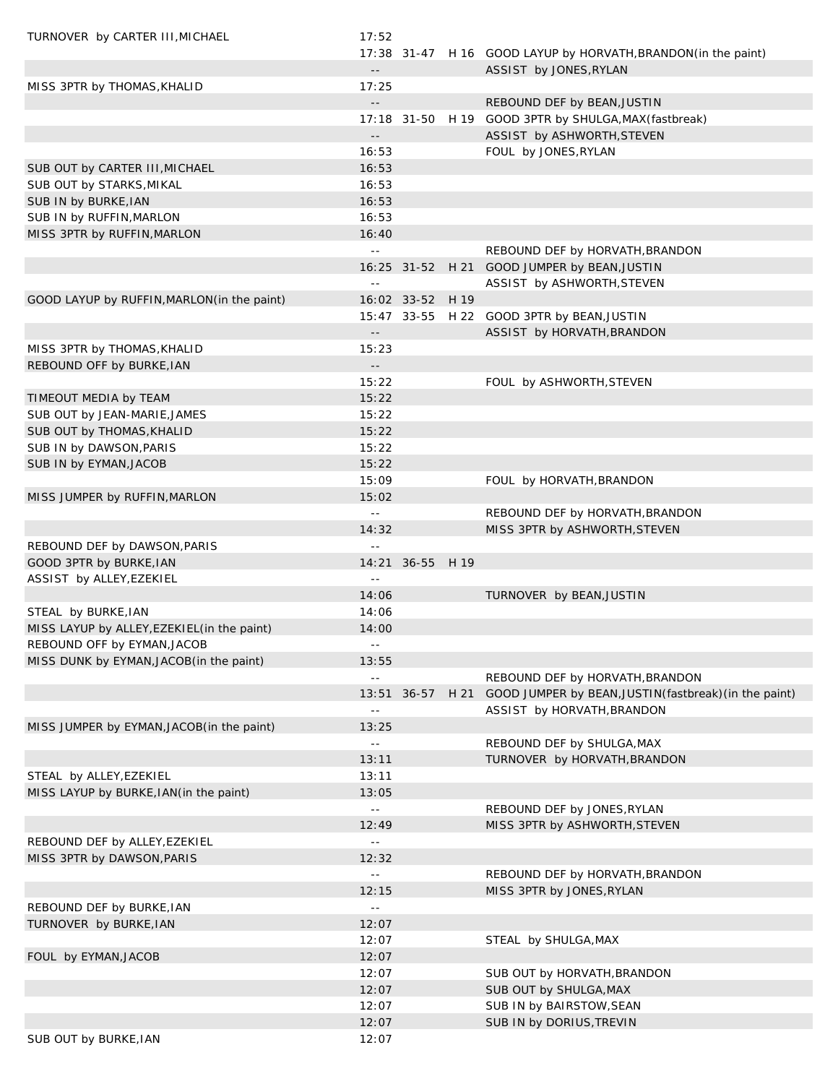| TURNOVER by CARTER III, MICHAEL             | 17:52                      |                  |      |                                                                |
|---------------------------------------------|----------------------------|------------------|------|----------------------------------------------------------------|
|                                             |                            |                  |      | 17:38 31-47 H 16 GOOD LAYUP by HORVATH, BRANDON (in the paint) |
|                                             | $\overline{\phantom{a}}$ . |                  |      | ASSIST by JONES, RYLAN                                         |
| MISS 3PTR by THOMAS, KHALID                 | 17:25                      |                  |      |                                                                |
|                                             | $\sim$ $\sim$              |                  |      | REBOUND DEF by BEAN, JUSTIN                                    |
|                                             |                            |                  |      | 17:18 31-50 H 19 GOOD 3PTR by SHULGA, MAX (fastbreak)          |
|                                             | $\sim$ $\sim$              |                  |      | ASSIST by ASHWORTH, STEVEN                                     |
|                                             | 16:53                      |                  |      | FOUL by JONES, RYLAN                                           |
| SUB OUT by CARTER III, MICHAEL              | 16:53                      |                  |      |                                                                |
| SUB OUT by STARKS, MIKAL                    | 16:53                      |                  |      |                                                                |
| SUB IN by BURKE, IAN                        | 16:53                      |                  |      |                                                                |
|                                             | 16:53                      |                  |      |                                                                |
| SUB IN by RUFFIN, MARLON                    |                            |                  |      |                                                                |
| MISS 3PTR by RUFFIN, MARLON                 | 16:40                      |                  |      |                                                                |
|                                             | $\mathbb{L}^{\mathbb{L}}$  |                  |      | REBOUND DEF by HORVATH, BRANDON                                |
|                                             |                            | 16:25 31-52      |      | H 21 GOOD JUMPER by BEAN, JUSTIN                               |
|                                             | $\equiv$ $\equiv$          |                  |      | ASSIST by ASHWORTH, STEVEN                                     |
| GOOD LAYUP by RUFFIN, MARLON (in the paint) |                            | 16:02 33-52 H 19 |      |                                                                |
|                                             |                            |                  |      | 15:47 33-55 H 22 GOOD 3PTR by BEAN, JUSTIN                     |
|                                             | $\sim$ $\sim$              |                  |      | ASSIST by HORVATH, BRANDON                                     |
| MISS 3PTR by THOMAS, KHALID                 | 15:23                      |                  |      |                                                                |
| REBOUND OFF by BURKE, IAN                   | $\sim$ $\sim$              |                  |      |                                                                |
|                                             | 15:22                      |                  |      | FOUL by ASHWORTH, STEVEN                                       |
| TIMEOUT MEDIA by TEAM                       | 15:22                      |                  |      |                                                                |
| SUB OUT by JEAN-MARIE, JAMES                | 15:22                      |                  |      |                                                                |
| SUB OUT by THOMAS, KHALID                   | 15:22                      |                  |      |                                                                |
| SUB IN by DAWSON, PARIS                     | 15:22                      |                  |      |                                                                |
| SUB IN by EYMAN, JACOB                      | 15:22                      |                  |      |                                                                |
|                                             | 15:09                      |                  |      | FOUL by HORVATH, BRANDON                                       |
| MISS JUMPER by RUFFIN, MARLON               | 15:02                      |                  |      |                                                                |
|                                             | $\sim$ $\sim$              |                  |      | REBOUND DEF by HORVATH, BRANDON                                |
|                                             |                            |                  |      |                                                                |
|                                             | 14:32                      |                  |      | MISS 3PTR by ASHWORTH, STEVEN                                  |
| REBOUND DEF by DAWSON, PARIS                | $\overline{a}$             |                  |      |                                                                |
| GOOD 3PTR by BURKE, IAN                     |                            | 14:21 36-55 H 19 |      |                                                                |
| ASSIST by ALLEY, EZEKIEL                    | $\equiv$ $\equiv$          |                  |      |                                                                |
|                                             | 14:06                      |                  |      | TURNOVER by BEAN, JUSTIN                                       |
| STEAL by BURKE, IAN                         | 14:06                      |                  |      |                                                                |
| MISS LAYUP by ALLEY, EZEKIEL (in the paint) | 14:00                      |                  |      |                                                                |
| REBOUND OFF by EYMAN, JACOB                 | $=$ $-$                    |                  |      |                                                                |
| MISS DUNK by EYMAN, JACOB(in the paint)     | 13:55                      |                  |      |                                                                |
|                                             | $\perp$ $\perp$            |                  |      | REBOUND DEF by HORVATH, BRANDON                                |
|                                             |                            | 13:51 36-57      | H 21 | GOOD JUMPER by BEAN, JUSTIN (fastbreak) (in the paint)         |
|                                             | $\sim$ $\sim$              |                  |      | ASSIST by HORVATH, BRANDON                                     |
| MISS JUMPER by EYMAN, JACOB(in the paint)   | 13:25                      |                  |      |                                                                |
|                                             | $\mathbb{L}$ .             |                  |      | REBOUND DEF by SHULGA, MAX                                     |
|                                             | 13:11                      |                  |      | TURNOVER by HORVATH, BRANDON                                   |
| STEAL by ALLEY, EZEKIEL                     | 13:11                      |                  |      |                                                                |
| MISS LAYUP by BURKE, IAN (in the paint)     | 13:05                      |                  |      |                                                                |
|                                             | $\sim$ $\sim$              |                  |      | REBOUND DEF by JONES, RYLAN                                    |
|                                             | 12:49                      |                  |      | MISS 3PTR by ASHWORTH, STEVEN                                  |
| REBOUND DEF by ALLEY, EZEKIEL               | $\mathbb{L}$ .             |                  |      |                                                                |
|                                             |                            |                  |      |                                                                |
| MISS 3PTR by DAWSON, PARIS                  | 12:32                      |                  |      |                                                                |
|                                             | $\sim$ $-$                 |                  |      | REBOUND DEF by HORVATH, BRANDON                                |
|                                             | 12:15                      |                  |      | MISS 3PTR by JONES, RYLAN                                      |
| REBOUND DEF by BURKE, IAN                   | $\mathbb{L}$ .             |                  |      |                                                                |
| TURNOVER by BURKE, IAN                      | 12:07                      |                  |      |                                                                |
|                                             | 12:07                      |                  |      | STEAL by SHULGA, MAX                                           |
| FOUL by EYMAN, JACOB                        | 12:07                      |                  |      |                                                                |
|                                             | 12:07                      |                  |      | SUB OUT by HORVATH, BRANDON                                    |
|                                             | 12:07                      |                  |      | SUB OUT by SHULGA, MAX                                         |
|                                             | 12:07                      |                  |      | SUB IN by BAIRSTOW, SEAN                                       |
|                                             | 12:07                      |                  |      | SUB IN by DORIUS, TREVIN                                       |
| SUB OUT by BURKE, IAN                       | 12:07                      |                  |      |                                                                |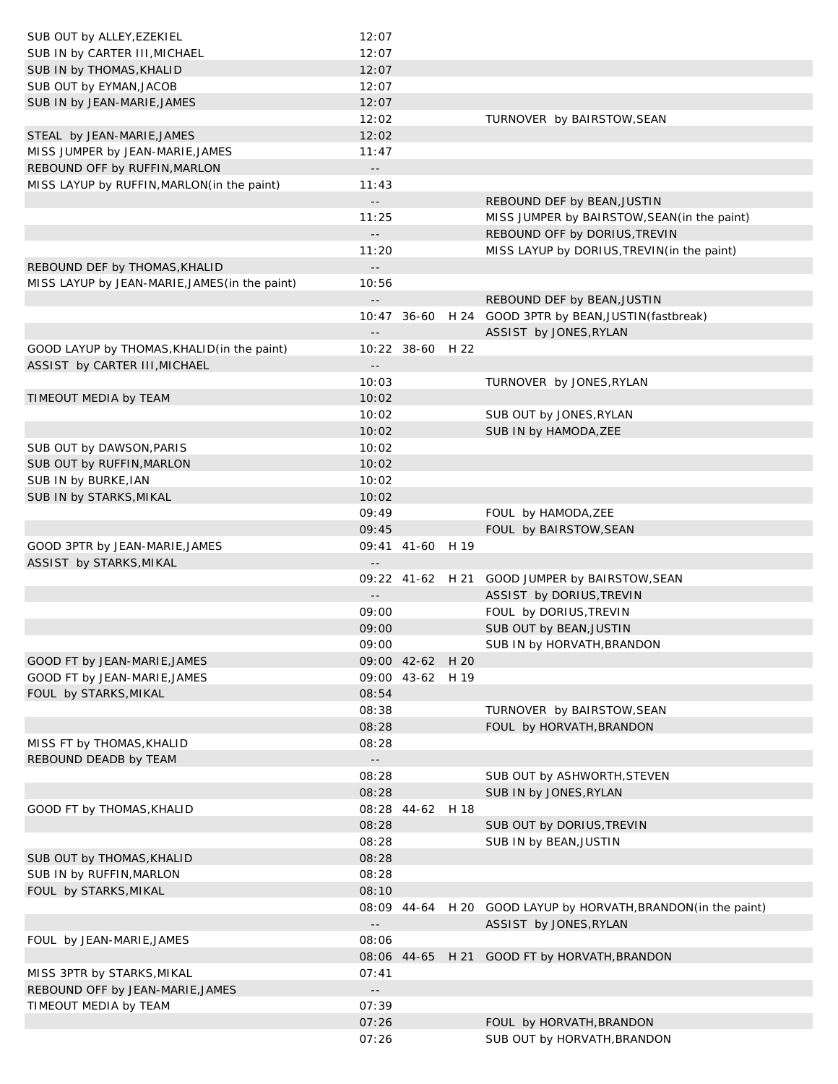| SUB OUT by ALLEY, EZEKIEL                                 | 12:07                               |                  |      |                                                                |
|-----------------------------------------------------------|-------------------------------------|------------------|------|----------------------------------------------------------------|
| SUB IN by CARTER III, MICHAEL                             | 12:07                               |                  |      |                                                                |
| SUB IN by THOMAS, KHALID                                  | 12:07                               |                  |      |                                                                |
| SUB OUT by EYMAN, JACOB                                   | 12:07                               |                  |      |                                                                |
| SUB IN by JEAN-MARIE, JAMES                               | 12:07                               |                  |      |                                                                |
|                                                           | 12:02                               |                  |      | TURNOVER by BAIRSTOW, SEAN                                     |
| STEAL by JEAN-MARIE, JAMES                                | 12:02                               |                  |      |                                                                |
| MISS JUMPER by JEAN-MARIE, JAMES                          | 11:47                               |                  |      |                                                                |
| REBOUND OFF by RUFFIN, MARLON                             | $\overline{\phantom{a}}$ .          |                  |      |                                                                |
| MISS LAYUP by RUFFIN, MARLON(in the paint)                | 11:43                               |                  |      |                                                                |
|                                                           | $\overline{\phantom{a}}$ .          |                  |      | REBOUND DEF by BEAN, JUSTIN                                    |
|                                                           | 11:25                               |                  |      | MISS JUMPER by BAIRSTOW, SEAN (in the paint)                   |
|                                                           | $\overline{\phantom{a}}$ .          |                  |      | REBOUND OFF by DORIUS, TREVIN                                  |
|                                                           | 11:20                               |                  |      | MISS LAYUP by DORIUS, TREVIN(in the paint)                     |
| REBOUND DEF by THOMAS, KHALID                             | $\overline{\phantom{a}}$ .          |                  |      |                                                                |
| MISS LAYUP by JEAN-MARIE, JAMES (in the paint)            | 10:56                               |                  |      |                                                                |
|                                                           | $\overline{\phantom{a}}$ .          |                  |      | REBOUND DEF by BEAN, JUSTIN                                    |
|                                                           |                                     |                  |      | 10:47 36-60 H 24 GOOD 3PTR by BEAN, JUSTIN (fastbreak)         |
|                                                           | $\overline{\phantom{a}}$ .          |                  |      | ASSIST by JONES, RYLAN                                         |
| GOOD LAYUP by THOMAS, KHALID(in the paint)                |                                     | 10:22 38-60 H 22 |      |                                                                |
| ASSIST by CARTER III, MICHAEL                             | $\overline{\phantom{a}}$ .          |                  |      |                                                                |
|                                                           | 10:03                               |                  |      | TURNOVER by JONES, RYLAN                                       |
| TIMEOUT MEDIA by TEAM                                     | 10:02                               |                  |      |                                                                |
|                                                           | 10:02                               |                  |      | SUB OUT by JONES, RYLAN                                        |
|                                                           | 10:02                               |                  |      | SUB IN by HAMODA, ZEE                                          |
| SUB OUT by DAWSON, PARIS                                  | 10:02                               |                  |      |                                                                |
| SUB OUT by RUFFIN, MARLON                                 | 10:02                               |                  |      |                                                                |
| SUB IN by BURKE, IAN                                      | 10:02                               |                  |      |                                                                |
| SUB IN by STARKS, MIKAL                                   | 10:02                               |                  |      |                                                                |
|                                                           | 09:49                               |                  |      | FOUL by HAMODA, ZEE                                            |
|                                                           | 09:45                               |                  |      | FOUL by BAIRSTOW, SEAN                                         |
| GOOD 3PTR by JEAN-MARIE, JAMES                            |                                     | 09:41 41-60 H 19 |      |                                                                |
| ASSIST by STARKS, MIKAL                                   | $\overline{\phantom{a}}$ .          |                  |      |                                                                |
|                                                           |                                     |                  |      | 09:22 41-62 H 21 GOOD JUMPER by BAIRSTOW, SEAN                 |
|                                                           | $\sim$ $-$                          |                  |      | ASSIST by DORIUS, TREVIN                                       |
|                                                           | 09:00                               |                  |      | FOUL by DORIUS, TREVIN                                         |
|                                                           | 09:00                               |                  |      | SUB OUT by BEAN, JUSTIN                                        |
|                                                           | 09:00                               |                  |      | SUB IN by HORVATH, BRANDON                                     |
| GOOD FT by JEAN-MARIE, JAMES                              |                                     | 09:00 42-62 H 20 |      |                                                                |
| GOOD FT by JEAN-MARIE, JAMES                              |                                     | 09:00 43-62 H 19 |      |                                                                |
| FOUL by STARKS, MIKAL                                     | 08:54                               |                  |      |                                                                |
|                                                           | 08:38                               |                  |      | TURNOVER by BAIRSTOW, SEAN                                     |
|                                                           | 08:28                               |                  |      | FOUL by HORVATH, BRANDON                                       |
| MISS FT by THOMAS, KHALID                                 | 08:28                               |                  |      |                                                                |
| REBOUND DEADB by TEAM                                     | $\sim$ $-$                          |                  |      |                                                                |
|                                                           | 08:28                               |                  |      | SUB OUT by ASHWORTH, STEVEN                                    |
|                                                           | 08:28                               |                  |      | SUB IN by JONES, RYLAN                                         |
| GOOD FT by THOMAS, KHALID                                 |                                     | 08:28 44-62      | H 18 |                                                                |
|                                                           | 08:28                               |                  |      | SUB OUT by DORIUS, TREVIN                                      |
|                                                           | 08:28                               |                  |      | SUB IN by BEAN, JUSTIN                                         |
| SUB OUT by THOMAS, KHALID                                 | 08:28                               |                  |      |                                                                |
| SUB IN by RUFFIN, MARLON                                  | 08:28                               |                  |      |                                                                |
| FOUL by STARKS, MIKAL                                     | 08:10                               |                  |      |                                                                |
|                                                           |                                     |                  |      | 08:09 44-64 H 20 GOOD LAYUP by HORVATH, BRANDON (in the paint) |
|                                                           | $\overline{\phantom{a}}$ .<br>08:06 |                  |      | ASSIST by JONES, RYLAN                                         |
| FOUL by JEAN-MARIE, JAMES                                 |                                     |                  |      |                                                                |
|                                                           | 07:41                               | 08:06 44-65      |      | H 21 GOOD FT by HORVATH, BRANDON                               |
| MISS 3PTR by STARKS, MIKAL                                |                                     |                  |      |                                                                |
| REBOUND OFF by JEAN-MARIE, JAMES<br>TIMEOUT MEDIA by TEAM | $\mathbb{H}^2$<br>07:39             |                  |      |                                                                |
|                                                           | 07:26                               |                  |      | FOUL by HORVATH, BRANDON                                       |
|                                                           | 07:26                               |                  |      | SUB OUT by HORVATH, BRANDON                                    |
|                                                           |                                     |                  |      |                                                                |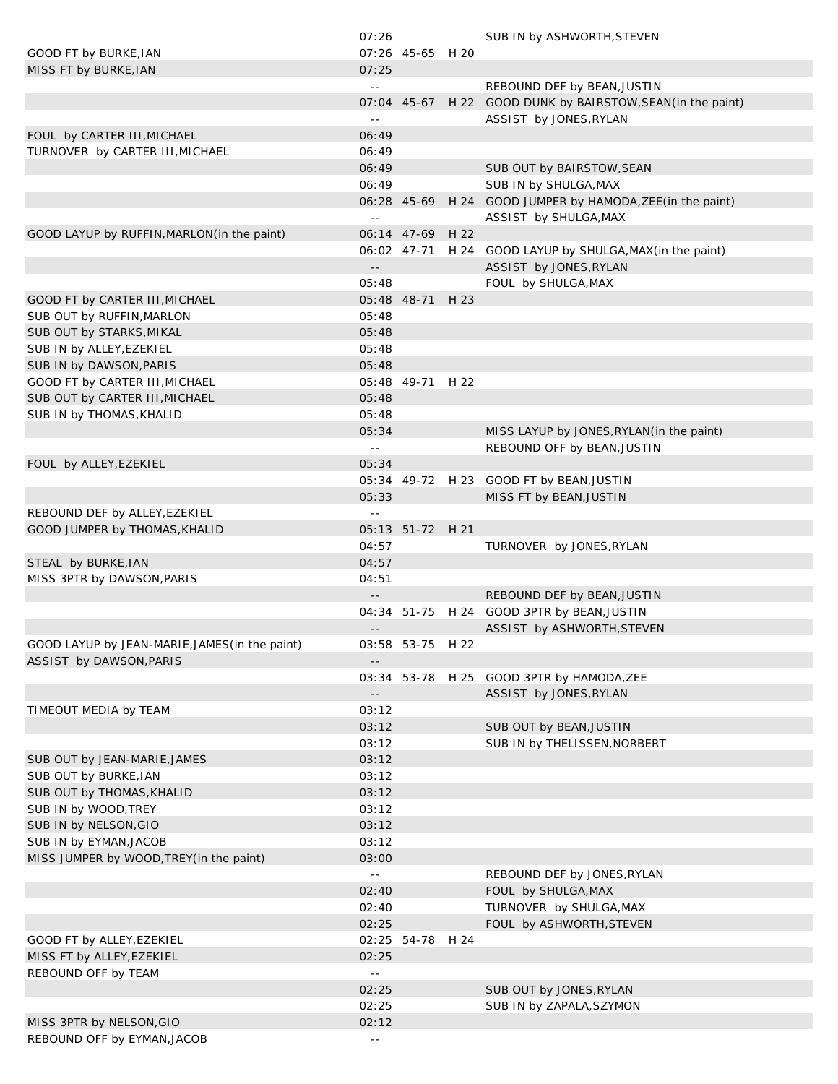|                                                | 07:26                      |                  | SUB IN by ASHWORTH, STEVEN                                  |
|------------------------------------------------|----------------------------|------------------|-------------------------------------------------------------|
| GOOD FT by BURKE, IAN                          |                            | 07:26 45-65 H 20 |                                                             |
| MISS FT by BURKE, IAN                          | 07:25                      |                  |                                                             |
|                                                | $\sim$ $-$                 |                  | REBOUND DEF by BEAN, JUSTIN                                 |
|                                                |                            |                  | 07:04 45-67 H 22 GOOD DUNK by BAIRSTOW, SEAN (in the paint) |
|                                                | $\sim$ $-$                 |                  | ASSIST by JONES, RYLAN                                      |
| FOUL by CARTER III, MICHAEL                    | 06:49                      |                  |                                                             |
| TURNOVER by CARTER III, MICHAEL                | 06:49                      |                  |                                                             |
|                                                |                            |                  |                                                             |
|                                                | 06:49                      |                  | SUB OUT by BAIRSTOW, SEAN                                   |
|                                                | 06:49                      |                  | SUB IN by SHULGA, MAX                                       |
|                                                |                            |                  | 06:28 45-69 H 24 GOOD JUMPER by HAMODA, ZEE (in the paint)  |
|                                                | $\sim$ $-$                 |                  | ASSIST by SHULGA, MAX                                       |
| GOOD LAYUP by RUFFIN, MARLON (in the paint)    |                            | 06:14 47-69 H 22 |                                                             |
|                                                |                            |                  | 06:02 47-71 H 24 GOOD LAYUP by SHULGA, MAX(in the paint)    |
|                                                | $\sim$ $\sim$              |                  | ASSIST by JONES, RYLAN                                      |
|                                                | 05:48                      |                  | FOUL by SHULGA, MAX                                         |
| GOOD FT by CARTER III, MICHAEL                 |                            | 05:48 48-71 H 23 |                                                             |
| SUB OUT by RUFFIN, MARLON                      | 05:48                      |                  |                                                             |
| SUB OUT by STARKS, MIKAL                       | 05:48                      |                  |                                                             |
| SUB IN by ALLEY, EZEKIEL                       | 05:48                      |                  |                                                             |
| SUB IN by DAWSON, PARIS                        | 05:48                      |                  |                                                             |
| GOOD FT by CARTER III, MICHAEL                 |                            | 05:48 49-71 H 22 |                                                             |
| SUB OUT by CARTER III, MICHAEL                 | 05:48                      |                  |                                                             |
| SUB IN by THOMAS, KHALID                       | 05:48                      |                  |                                                             |
|                                                | 05:34                      |                  | MISS LAYUP by JONES, RYLAN (in the paint)                   |
|                                                |                            |                  |                                                             |
|                                                | $\sim$ $-$                 |                  | REBOUND OFF by BEAN, JUSTIN                                 |
| FOUL by ALLEY, EZEKIEL                         | 05:34                      |                  |                                                             |
|                                                |                            |                  | 05:34 49-72 H 23 GOOD FT by BEAN, JUSTIN                    |
|                                                | 05:33                      |                  | MISS FT by BEAN, JUSTIN                                     |
| REBOUND DEF by ALLEY, EZEKIEL                  | $\sim$ $-$                 |                  |                                                             |
| GOOD JUMPER by THOMAS, KHALID                  |                            | 05:13 51-72 H 21 |                                                             |
|                                                | 04:57                      |                  | TURNOVER by JONES, RYLAN                                    |
| STEAL by BURKE, IAN                            | 04:57                      |                  |                                                             |
| MISS 3PTR by DAWSON, PARIS                     | 04:51                      |                  |                                                             |
|                                                |                            |                  | REBOUND DEF by BEAN, JUSTIN                                 |
|                                                |                            |                  | 04:34 51-75 H 24 GOOD 3PTR by BEAN, JUSTIN                  |
|                                                | $\overline{\phantom{a}}$ . |                  | ASSIST by ASHWORTH, STEVEN                                  |
| GOOD LAYUP by JEAN-MARIE, JAMES (in the paint) |                            | 03:58 53-75 H 22 |                                                             |
| ASSIST by DAWSON, PARIS                        | $- -$                      |                  |                                                             |
|                                                |                            |                  | 03:34 53-78 H 25 GOOD 3PTR by HAMODA, ZEE                   |
|                                                |                            |                  | ASSIST by JONES, RYLAN                                      |
| TIMEOUT MEDIA by TEAM                          | 03:12                      |                  |                                                             |
|                                                | 03:12                      |                  | SUB OUT by BEAN, JUSTIN                                     |
|                                                |                            |                  |                                                             |
|                                                | 03:12                      |                  | SUB IN by THELISSEN, NORBERT                                |
| SUB OUT by JEAN-MARIE, JAMES                   | 03:12                      |                  |                                                             |
| SUB OUT by BURKE, IAN                          | 03:12                      |                  |                                                             |
| SUB OUT by THOMAS, KHALID                      | 03:12                      |                  |                                                             |
| SUB IN by WOOD, TREY                           | 03:12                      |                  |                                                             |
| SUB IN by NELSON, GIO                          | 03:12                      |                  |                                                             |
| SUB IN by EYMAN, JACOB                         | 03:12                      |                  |                                                             |
| MISS JUMPER by WOOD, TREY(in the paint)        | 03:00                      |                  |                                                             |
|                                                | $\sim$ $-$                 |                  | REBOUND DEF by JONES, RYLAN                                 |
|                                                | 02:40                      |                  | FOUL by SHULGA, MAX                                         |
|                                                | 02:40                      |                  | TURNOVER by SHULGA, MAX                                     |
|                                                | 02:25                      |                  | FOUL by ASHWORTH, STEVEN                                    |
| GOOD FT by ALLEY, EZEKIEL                      |                            | 02:25 54-78 H 24 |                                                             |
| MISS FT by ALLEY, EZEKIEL                      | 02:25                      |                  |                                                             |
| REBOUND OFF by TEAM                            | $\sim$ $\sim$              |                  |                                                             |
|                                                | 02:25                      |                  | SUB OUT by JONES, RYLAN                                     |
|                                                | 02:25                      |                  | SUB IN by ZAPALA, SZYMON                                    |
| MISS 3PTR by NELSON, GIO                       | 02:12                      |                  |                                                             |
| REBOUND OFF by EYMAN, JACOB                    | $\sim$ $-$                 |                  |                                                             |
|                                                |                            |                  |                                                             |